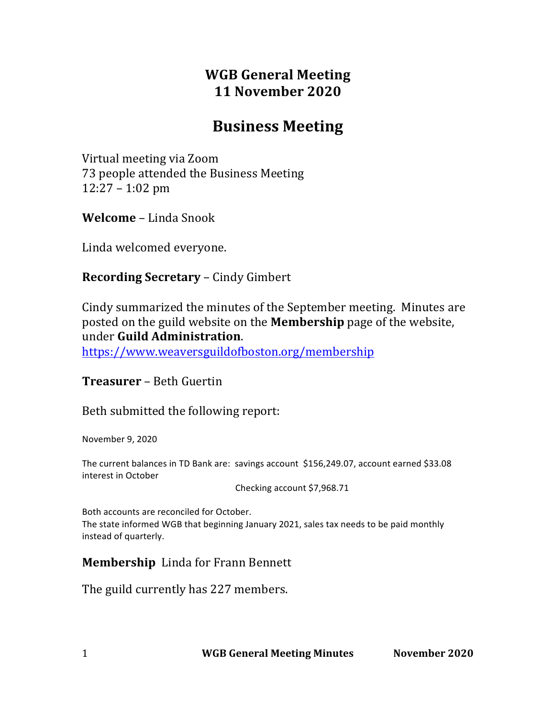# **WGB General Meeting 11 November 2020**

# **Business Meeting**

Virtual meeting via Zoom 73 people attended the Business Meeting 12:27 – 1:02 pm

**Welcome** – Linda Snook

Linda welcomed everyone.

### **Recording Secretary** – Cindy Gimbert

Cindy summarized the minutes of the September meeting. Minutes are posted on the guild website on the **Membership** page of the website, under **Guild Administration**.

https://www.weaversguildofboston.org/membership

**Treasurer** – Beth Guertin

Beth submitted the following report:

November 9, 2020

The current balances in TD Bank are: savings account \$156,249.07, account earned \$33.08 interest in October

Checking account \$7,968.71

Both accounts are reconciled for October. The state informed WGB that beginning January 2021, sales tax needs to be paid monthly instead of quarterly.

### **Membership** Linda for Frann Bennett

The guild currently has 227 members.

1 **WGB General Meeting Minutes November 2020**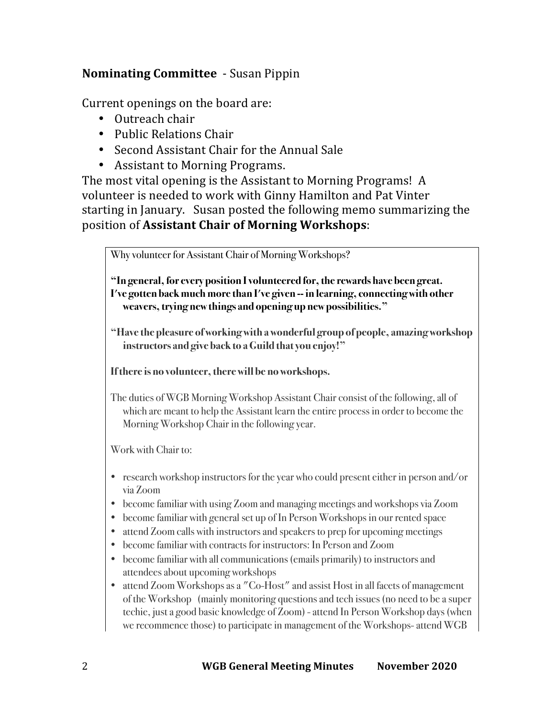# **Nominating Committee** - Susan Pippin

Current openings on the board are:

- Outreach chair
- Public Relations Chair
- Second Assistant Chair for the Annual Sale
- Assistant to Morning Programs.

The most vital opening is the Assistant to Morning Programs! A volunteer is needed to work with Ginny Hamilton and Pat Vinter starting in January. Susan posted the following memo summarizing the position of **Assistant Chair of Morning Workshops:** 

Why volunteer for Assistant Chair of Morning Workshops?

**"In general, for every position I volunteered for, the rewards have been great. I've gotten back much more than I've given -- in learning, connecting with other weavers, trying new things and opening up new possibilities."**

**"Have the pleasure of working with a wonderful group of people, amazing workshop instructors and give back to a Guild that you enjoy!"**

**If there is no volunteer, there will be no workshops.**

The duties of WGB Morning Workshop Assistant Chair consist of the following, all of which are meant to help the Assistant learn the entire process in order to become the Morning Workshop Chair in the following year.

Work with Chair to:

- research workshop instructors for the year who could present either in person and/or via Zoom
- become familiar with using Zoom and managing meetings and workshops via Zoom
- become familiar with general set up of In Person Workshops in our rented space
- attend Zoom calls with instructors and speakers to prep for upcoming meetings
- become familiar with contracts for instructors: In Person and Zoom
- become familiar with all communications (emails primarily) to instructors and attendees about upcoming workshops
- attend Zoom Workshops as a "Co-Host" and assist Host in all facets of management of the Workshop (mainly monitoring questions and tech issues (no need to be a super techie, just a good basic knowledge of Zoom) - attend In Person Workshop days (when we recommence those) to participate in management of the Workshops-attend WGB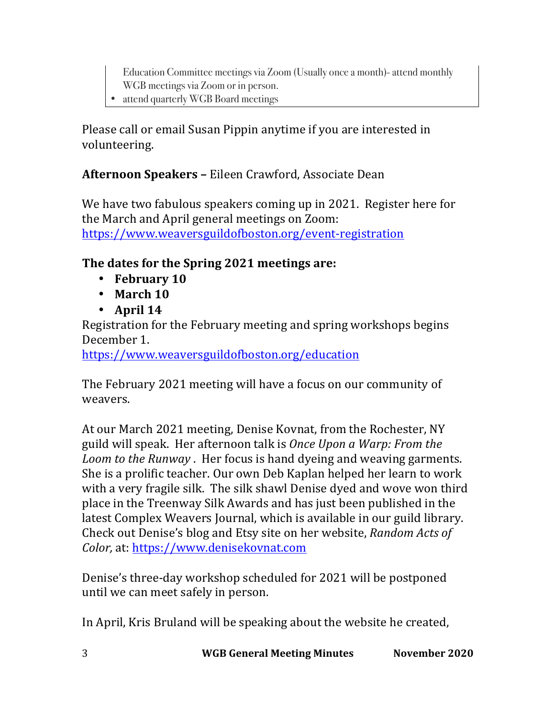Education Committee meetings via Zoom (Usually once a month)-attend monthly WGB meetings via Zoom or in person.

• attend quarterly WGB Board meetings

Please call or email Susan Pippin anytime if you are interested in volunteering. 

# **Afternoon Speakers - Eileen Crawford, Associate Dean**

We have two fabulous speakers coming up in 2021. Register here for the March and April general meetings on Zoom: https://www.weaversguildofboston.org/event-registration

# **The dates for the Spring 2021 meetings are:**

- **February** 10
- March 10
- $\bullet$  **April 14**

Registration for the February meeting and spring workshops begins December 1.

https://www.weaversguildofboston.org/education

The February 2021 meeting will have a focus on our community of weavers.

At our March 2021 meeting, Denise Kovnat, from the Rochester, NY guild will speak. Her afternoon talk is *Once Upon a Warp: From the Loom to the Runway*. Her focus is hand dyeing and weaving garments. She is a prolific teacher. Our own Deb Kaplan helped her learn to work with a very fragile silk. The silk shawl Denise dyed and wove won third place in the Treenway Silk Awards and has just been published in the latest Complex Weavers Journal, which is available in our guild library. Check out Denise's blog and Etsy site on her website, *Random Acts of Color,* at: https://www.denisekovnat.com

Denise's three-day workshop scheduled for 2021 will be postponed until we can meet safely in person.

In April, Kris Bruland will be speaking about the website he created,

3 **WGB General Meeting Minutes November 2020**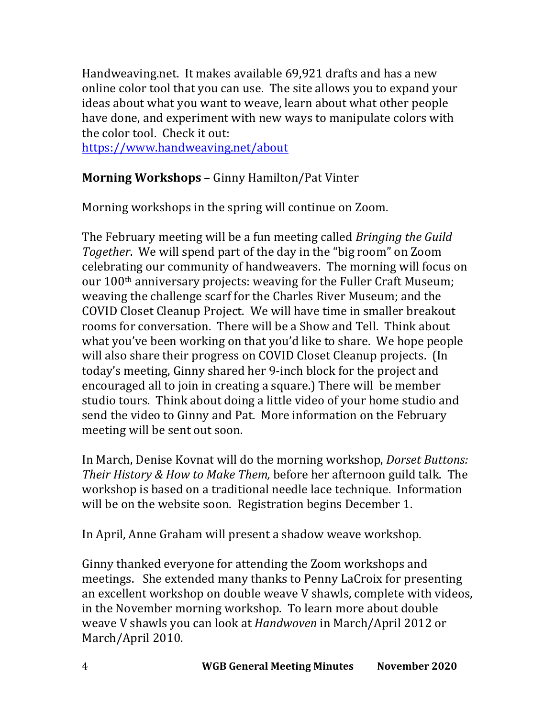Handweaving.net. It makes available 69,921 drafts and has a new online color tool that you can use. The site allows you to expand your ideas about what you want to weave, learn about what other people have done, and experiment with new ways to manipulate colors with the color tool. Check it out:

https://www.handweaving.net/about

### **Morning Workshops** – Ginny Hamilton/Pat Vinter

Morning workshops in the spring will continue on Zoom.

The February meeting will be a fun meeting called *Bringing the Guild Together*. We will spend part of the day in the "big room" on Zoom celebrating our community of handweavers. The morning will focus on our 100<sup>th</sup> anniversary projects: weaving for the Fuller Craft Museum; weaving the challenge scarf for the Charles River Museum; and the COVID Closet Cleanup Project. We will have time in smaller breakout rooms for conversation. There will be a Show and Tell. Think about what you've been working on that you'd like to share. We hope people will also share their progress on COVID Closet Cleanup projects. (In today's meeting, Ginny shared her 9-inch block for the project and encouraged all to join in creating a square.) There will be member studio tours. Think about doing a little video of your home studio and send the video to Ginny and Pat. More information on the February meeting will be sent out soon.

In March, Denise Koynat will do the morning workshop, *Dorset Buttons: Their History & How to Make Them,* before her afternoon guild talk. The workshop is based on a traditional needle lace technique. Information will be on the website soon. Registration begins December 1.

In April, Anne Graham will present a shadow weave workshop.

Ginny thanked everyone for attending the Zoom workshops and meetings. She extended many thanks to Penny LaCroix for presenting an excellent workshop on double weave V shawls, complete with videos, in the November morning workshop. To learn more about double weave V shawls you can look at *Handwoven* in March/April 2012 or March/April 2010.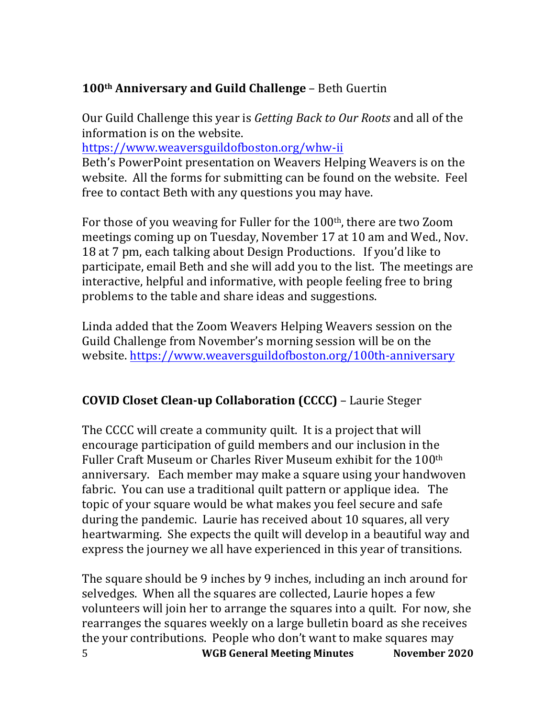# 100<sup>th</sup> Anniversary and Guild Challenge - Beth Guertin

Our Guild Challenge this year is *Getting Back to Our Roots* and all of the information is on the website.

https://www.weaversguildofboston.org/whw-ii

Beth's PowerPoint presentation on Weavers Helping Weavers is on the website. All the forms for submitting can be found on the website. Feel free to contact Beth with any questions you may have.

For those of you weaving for Fuller for the  $100<sup>th</sup>$ , there are two Zoom meetings coming up on Tuesday, November 17 at 10 am and Wed., Nov. 18 at 7 pm, each talking about Design Productions. If you'd like to participate, email Beth and she will add you to the list. The meetings are interactive, helpful and informative, with people feeling free to bring problems to the table and share ideas and suggestions.

Linda added that the Zoom Weavers Helping Weavers session on the Guild Challenge from November's morning session will be on the website. https://www.weaversguildofboston.org/100th-anniversary

# **COVID Closet Clean-up Collaboration (CCCC)** – Laurie Steger

The CCCC will create a community quilt. It is a project that will encourage participation of guild members and our inclusion in the Fuller Craft Museum or Charles River Museum exhibit for the 100<sup>th</sup> anniversary. Each member may make a square using your handwoven fabric. You can use a traditional quilt pattern or applique idea. The topic of your square would be what makes you feel secure and safe during the pandemic. Laurie has received about 10 squares, all very heartwarming. She expects the quilt will develop in a beautiful way and express the journey we all have experienced in this year of transitions.

5 **WGB General Meeting Minutes November 2020** The square should be 9 inches by 9 inches, including an inch around for selvedges. When all the squares are collected, Laurie hopes a few volunteers will join her to arrange the squares into a quilt. For now, she rearranges the squares weekly on a large bulletin board as she receives the your contributions. People who don't want to make squares may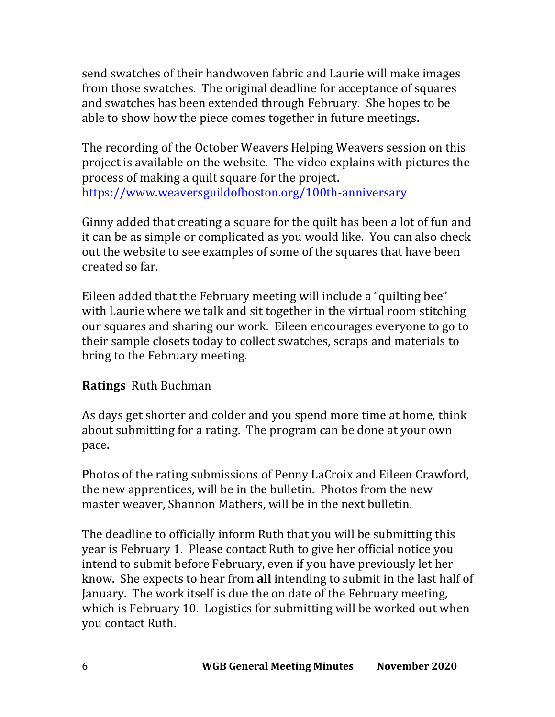send swatches of their handwoven fabric and Laurie will make images from those swatches. The original deadline for acceptance of squares and swatches has been extended through February. She hopes to be able to show how the piece comes together in future meetings.

The recording of the October Weavers Helping Weavers session on this project is available on the website. The video explains with pictures the process of making a quilt square for the project. https://www.weaversguildofboston.org/100th-anniversary

Ginny added that creating a square for the quilt has been a lot of fun and it can be as simple or complicated as you would like. You can also check out the website to see examples of some of the squares that have been created so far.

Eileen added that the February meeting will include a "quilting bee" with Laurie where we talk and sit together in the virtual room stitching our squares and sharing our work. Eileen encourages everyone to go to their sample closets today to collect swatches, scraps and materials to bring to the February meeting.

# **Ratings** Ruth Buchman

As days get shorter and colder and you spend more time at home, think about submitting for a rating. The program can be done at your own pace. 

Photos of the rating submissions of Penny LaCroix and Eileen Crawford, the new apprentices, will be in the bulletin. Photos from the new master weaver, Shannon Mathers, will be in the next bulletin.

The deadline to officially inform Ruth that you will be submitting this year is February 1. Please contact Ruth to give her official notice you intend to submit before February, even if you have previously let her know. She expects to hear from **all** intending to submit in the last half of January. The work itself is due the on date of the February meeting. which is February 10. Logistics for submitting will be worked out when you contact Ruth.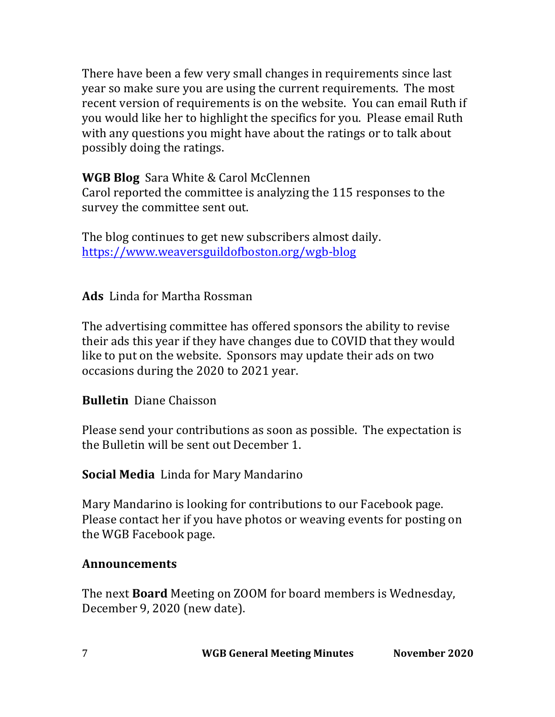There have been a few very small changes in requirements since last year so make sure you are using the current requirements. The most recent version of requirements is on the website. You can email Ruth if you would like her to highlight the specifics for you. Please email Ruth with any questions you might have about the ratings or to talk about possibly doing the ratings.

**WGB Blog** Sara White & Carol McClennen Carol reported the committee is analyzing the 115 responses to the survey the committee sent out.

The blog continues to get new subscribers almost daily. https://www.weaversguildofboston.org/wgb-blog

Ads Linda for Martha Rossman

The advertising committee has offered sponsors the ability to revise their ads this year if they have changes due to COVID that they would like to put on the website. Sponsors may update their ads on two occasions during the 2020 to 2021 year.

### **Bulletin** Diane Chaisson

Please send your contributions as soon as possible. The expectation is the Bulletin will be sent out December 1.

### **Social Media** Linda for Mary Mandarino

Mary Mandarino is looking for contributions to our Facebook page. Please contact her if you have photos or weaving events for posting on the WGB Facebook page.

#### **Announcements**

The next **Board** Meeting on ZOOM for board members is Wednesday, December 9, 2020 (new date).